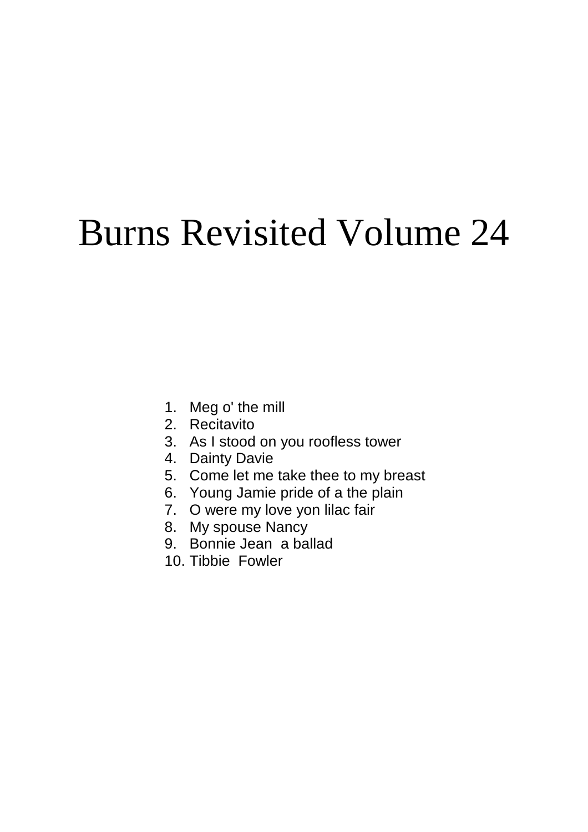# Burns Revisited Volume 24

- 1. Meg o' the mill
- 2. Recitavito
- 3. As I stood on you roofless tower
- 4. Dainty Davie
- 5. Come let me take thee to my breast
- 6. Young Jamie pride of a the plain
- 7. O were my love yon lilac fair
- 8. My spouse Nancy
- 9. Bonnie Jean a ballad
- 10. Tibbie Fowler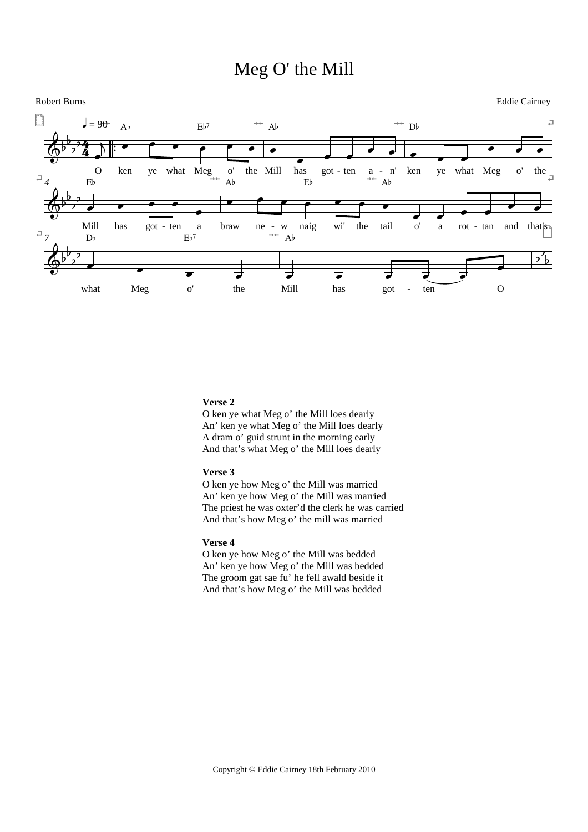# Meg O' the Mill



# **Verse 2**

O ken ye what Meg o' the Mill loes dearly An' ken ye what Meg o' the Mill loes dearly A dram o' guid strunt in the morning early And that's what Meg o' the Mill loes dearly

# **Verse 3**

O ken ye how Meg o' the Mill was married An' ken ye how Meg o' the Mill was married The priest he was oxter'd the clerk he was carried And that's how Meg o' the mill was married

# **Verse 4**

O ken ye how Meg o' the Mill was bedded An' ken ye how Meg o' the Mill was bedded The groom gat sae fu' he fell awald beside it And that's how Meg o' the Mill was bedded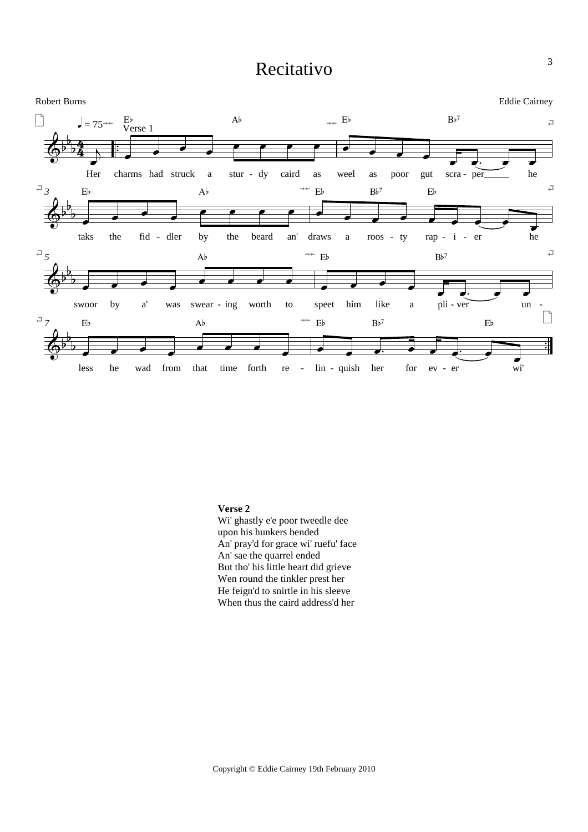# Recitativo



# Verse 2

Wi' ghastly e'e poor tweedle dee upon his hunkers bended An' pray'd for grace wi' ruefu' face An' sae the quarrel ended But tho' his little heart did grieve Wen round the tinkler prest her He feign'd to snirtle in his sleeve When thus the caird address'd her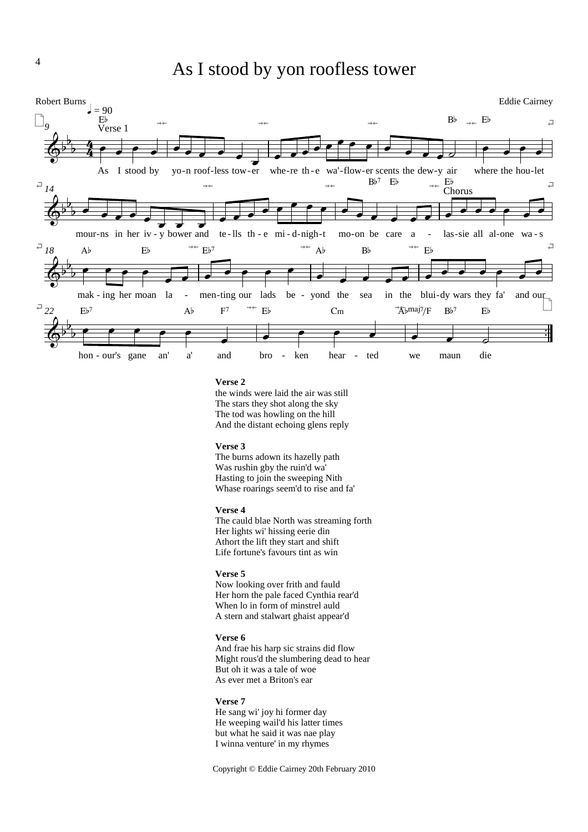# As I stood by yon roofless tower



### Verse 2

the winds were laid the air was still The stars they shot along the sky The tod was howling on the hill And the distant echoing glens reply

#### Verse 3

The burns adown its hazelly path Was rushin gby the ruin'd wa' Hasting to join the sweeping Nith Whase roarings seem'd to rise and fa'

#### Verse 4

The cauld blae North was streaming forth Her lights wi' hissing eerie din Athort the lift they start and shift Life fortune's favours tint as win

### Verse 5

Now looking over frith and fauld Her horn the pale faced Cynthia rear'd When lo in form of minstrel auld A stern and stalwart ghaist appear'd

#### Verse 6

And frae his harp sic strains did flow Might rous'd the slumbering dead to hear But oh it was a tale of woe As ever met a Briton's ear

### Verse 7

He sang wi' joy hi former day He weeping wail'd his latter times but what he said it was nae play I winna venture' in my rhymes

Copyright © Eddie Cairney 20th February 2010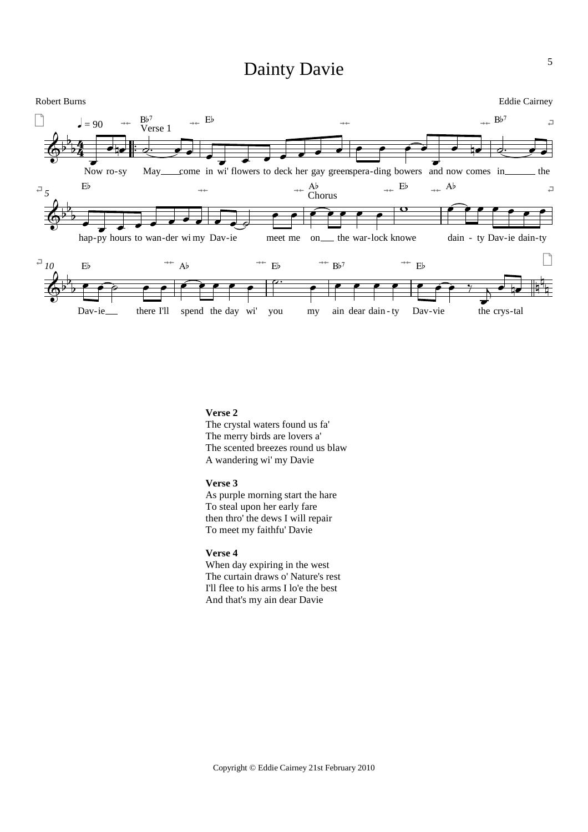# Dainty Davie



# **Verse 2**

The crystal waters found us fa' The merry birds are lovers a' The scented breezes round us blaw A wandering wi' my Davie

## **Verse 3**

As purple morning start the hare To steal upon her early fare then thro' the dews I will repair To meet my faithfu' Davie

# **Verse 4**

When day expiring in the west The curtain draws o' Nature's rest I'll flee to his arms I lo'e the best And that's my ain dear Davie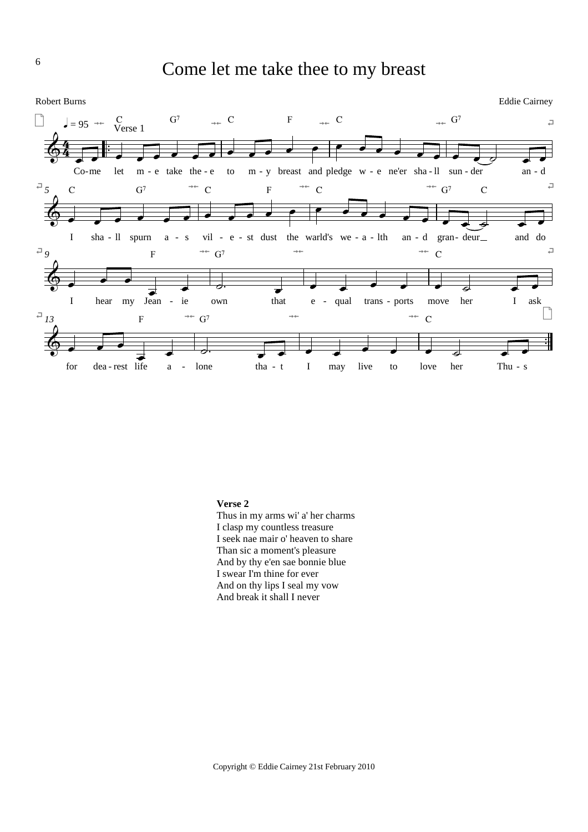



### **Verse 2**

Thus in my arms wi' a' her charms I clasp my countless treasure I seek nae mair o' heaven to share Than sic a moment's pleasure And by thy e'en sae bonnie blue I swear I'm thine for ever And on thy lips I seal my vow And break it shall I never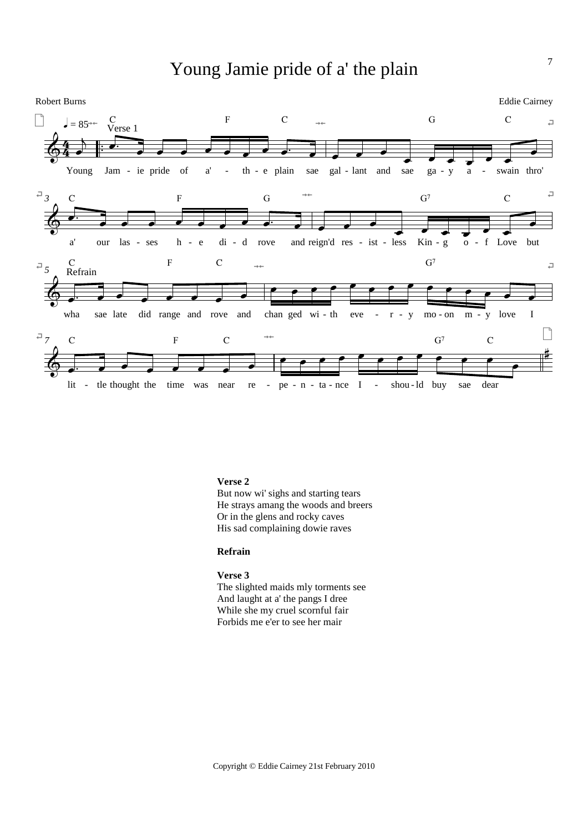# Young Jamie pride of a' the plain



# **Verse 2**

But now wi' sighs and starting tears He strays amang the woods and breers Or in the glens and rocky caves His sad complaining dowie raves

# **Refrain**

### **Verse 3**

The slighted maids mly torments see And laught at a' the pangs I dree While she my cruel scornful fair Forbids me e'er to see her mair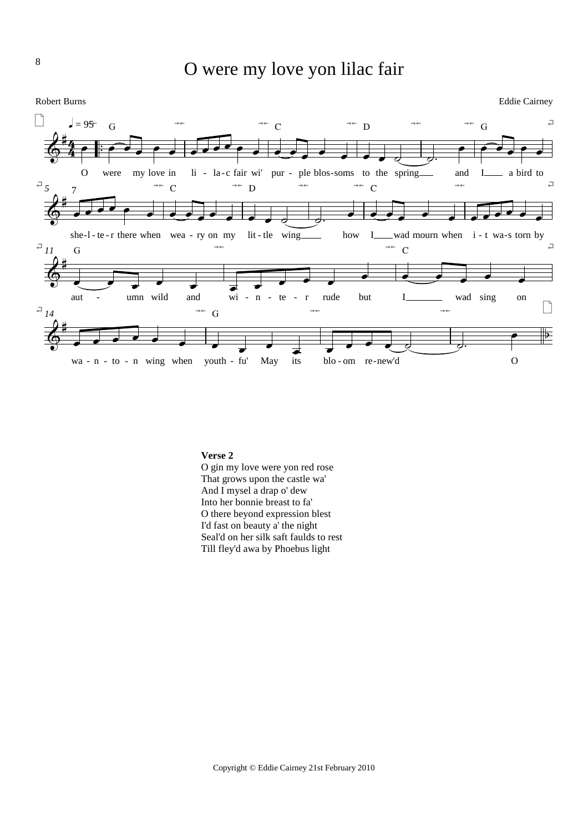

### **Verse 2**

O gin my love were yon red rose That grows upon the castle wa' And I mysel a drap o' dew Into her bonnie breast to fa' O there beyond expression blest I'd fast on beauty a' the night Seal'd on her silk saft faulds to rest Till fley'd awa by Phoebus light

8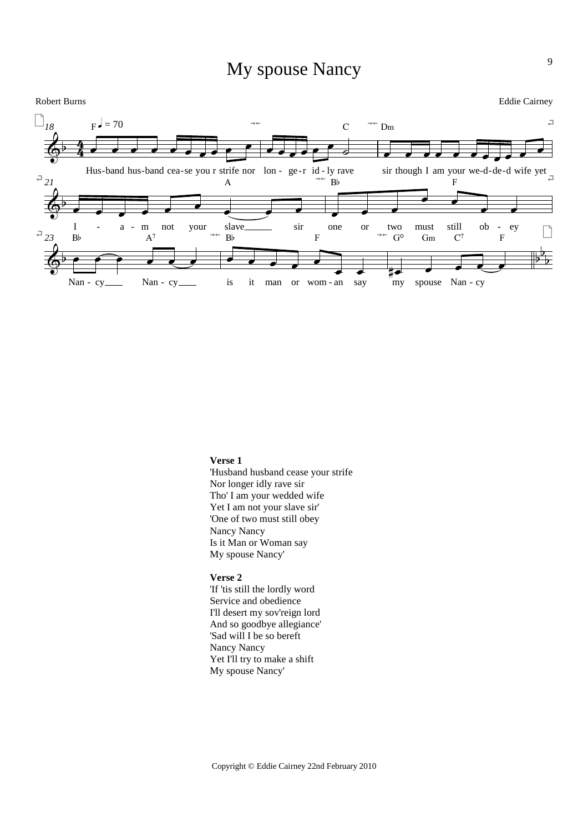# My spouse Nancy



#### **Verse 1**

'Husband husband cease your strife Nor longer idly rave sir Tho' I am your wedded wife Yet I am not your slave sir' 'One of two must still obey Nancy Nancy Is it Man or Woman say My spouse Nancy'

# **Verse 2**

'If 'tis still the lordly word Service and obedience I'll desert my sov'reign lord And so goodbye allegiance' 'Sad will I be so bereft Nancy Nancy Yet I'll try to make a shift My spouse Nancy'

9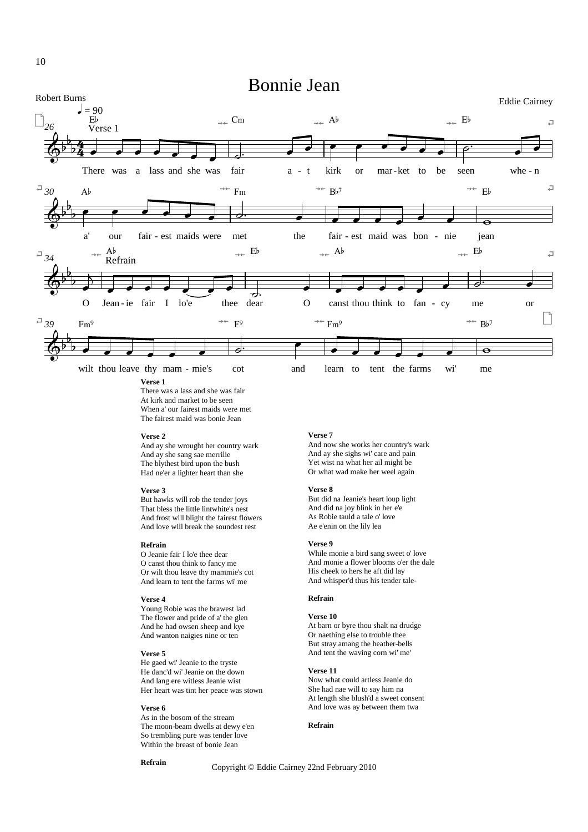

#### **Verse 1**

There was a lass and she was fair At kirk and market to be seen When a' our fairest maids were met The fairest maid was bonie Jean

#### **Verse 2**

And ay she wrought her country wark And ay she sang sae merrilie The blythest bird upon the bush Had ne'er a lighter heart than she

#### **Verse 3**

But hawks will rob the tender joys That bless the little lintwhite's nest And frost will blight the fairest flowers And love will break the soundest rest

#### **Refrain**

O Jeanie fair I lo'e thee dear O canst thou think to fancy me Or wilt thou leave thy mammie's cot And learn to tent the farms wi' me

#### **Verse 4**

Young Robie was the brawest lad The flower and pride of a' the glen And he had owsen sheep and kye And wanton naigies nine or ten

#### **Verse 5**

He gaed wi' Jeanie to the tryste He danc'd wi' Jeanie on the down And lang ere witless Jeanie wist Her heart was tint her peace was stown

### **Verse 6**

As in the bosom of the stream The moon-beam dwells at dewy e'en So trembling pure was tender love Within the breast of bonie Jean

#### **Refrain**

Copyright © Eddie Cairney 22nd February 2010

#### **Verse 7**

And now she works her country's wark And ay she sighs wi' care and pain Yet wist na what her ail might be Or what wad make her weel again

#### **Verse 8**

But did na Jeanie's heart loup light And did na joy blink in her e'e As Robie tauld a tale o' love Ae e'enin on the lily lea

#### **Verse 9**

While monie a bird sang sweet o' love And monie a flower blooms o'er the dale His cheek to hers he aft did lay And whisper'd thus his tender tale-

#### **Refrain**

#### **Verse 10**

At barn or byre thou shalt na drudge Or naething else to trouble thee But stray amang the heather-bells And tent the waving corn wi' me'

#### **Verse 11**

Now what could artless Jeanie do She had nae will to say him na At length she blush'd a sweet consent And love was ay between them twa

#### **Refrain**

10